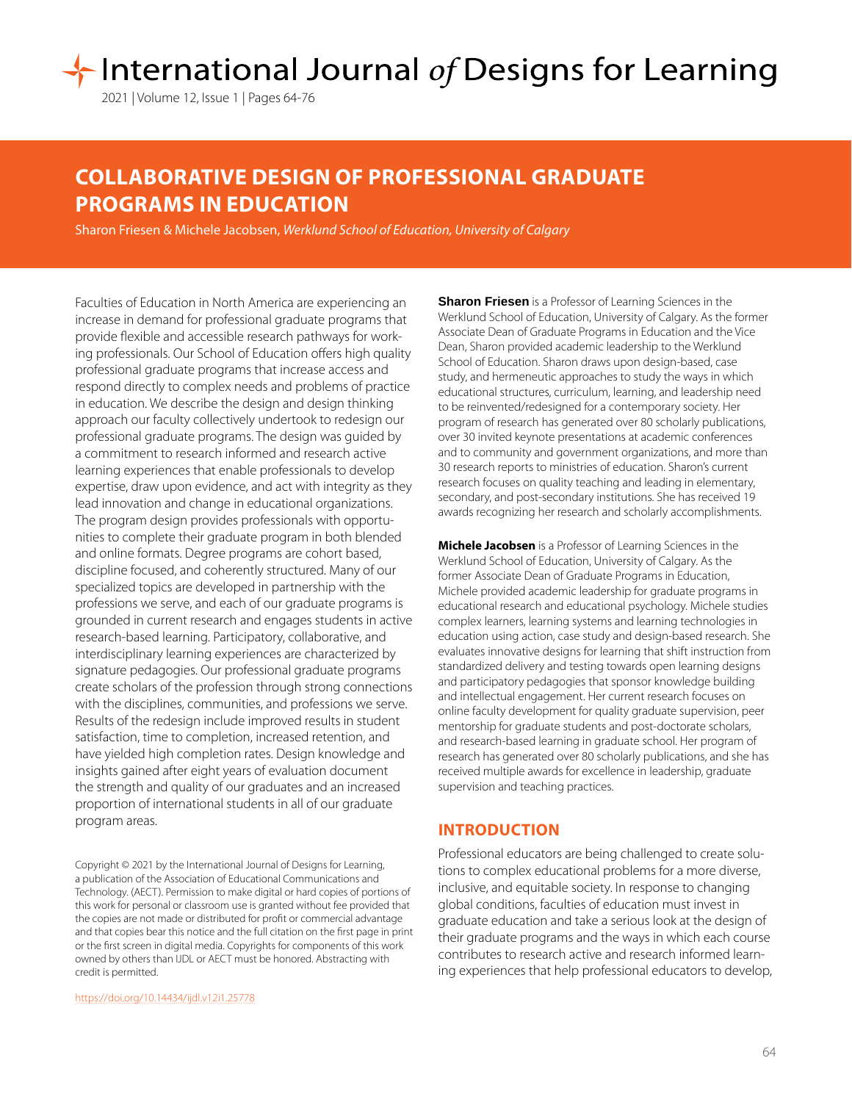2021 | Volume 12, Issue 1 | Pages 64-76

# **COLLABORATIVE DESIGN OF PROFESSIONAL GRADUATE PROGRAMS IN EDUCATION**

Sharon Friesen & Michele Jacobsen, *Werklund School of Education, University of Calgary*

Faculties of Education in North America are experiencing an increase in demand for professional graduate programs that provide flexible and accessible research pathways for working professionals. Our School of Education offers high quality professional graduate programs that increase access and respond directly to complex needs and problems of practice in education. We describe the design and design thinking approach our faculty collectively undertook to redesign our professional graduate programs. The design was guided by a commitment to research informed and research active learning experiences that enable professionals to develop expertise, draw upon evidence, and act with integrity as they lead innovation and change in educational organizations. The program design provides professionals with opportunities to complete their graduate program in both blended and online formats. Degree programs are cohort based, discipline focused, and coherently structured. Many of our specialized topics are developed in partnership with the professions we serve, and each of our graduate programs is grounded in current research and engages students in active research-based learning. Participatory, collaborative, and interdisciplinary learning experiences are characterized by signature pedagogies. Our professional graduate programs create scholars of the profession through strong connections with the disciplines, communities, and professions we serve. Results of the redesign include improved results in student satisfaction, time to completion, increased retention, and have yielded high completion rates. Design knowledge and insights gained after eight years of evaluation document the strength and quality of our graduates and an increased proportion of international students in all of our graduate program areas.

Copyright © 2021 by the International Journal of Designs for Learning, a publication of the Association of Educational Communications and Technology. (AECT). Permission to make digital or hard copies of portions of this work for personal or classroom use is granted without fee provided that the copies are not made or distributed for profit or commercial advantage and that copies bear this notice and the full citation on the first page in print or the first screen in digital media. Copyrights for components of this work owned by others than IJDL or AECT must be honored. Abstracting with credit is permitted.

[https://doi.org/](https://doi.org/10.14434/ijdl.v12i1.25778)10.14434/ijdl.v12i1.25778

**Sharon Friesen** is a Professor of Learning Sciences in the Werklund School of Education, University of Calgary. As the former Associate Dean of Graduate Programs in Education and the Vice Dean, Sharon provided academic leadership to the Werklund School of Education. Sharon draws upon design-based, case study, and hermeneutic approaches to study the ways in which educational structures, curriculum, learning, and leadership need to be reinvented/redesigned for a contemporary society. Her program of research has generated over 80 scholarly publications, over 30 invited keynote presentations at academic conferences and to community and government organizations, and more than 30 research reports to ministries of education. Sharon's current research focuses on quality teaching and leading in elementary, secondary, and post-secondary institutions. She has received 19 awards recognizing her research and scholarly accomplishments.

**Michele Jacobsen** is a Professor of Learning Sciences in the Werklund School of Education, University of Calgary. As the former Associate Dean of Graduate Programs in Education, Michele provided academic leadership for graduate programs in educational research and educational psychology. Michele studies complex learners, learning systems and learning technologies in education using action, case study and design-based research. She evaluates innovative designs for learning that shift instruction from standardized delivery and testing towards open learning designs and participatory pedagogies that sponsor knowledge building and intellectual engagement. Her current research focuses on online faculty development for quality graduate supervision, peer mentorship for graduate students and post-doctorate scholars, and research-based learning in graduate school. Her program of research has generated over 80 scholarly publications, and she has received multiple awards for excellence in leadership, graduate supervision and teaching practices.

## **INTRODUCTION**

Professional educators are being challenged to create solutions to complex educational problems for a more diverse, inclusive, and equitable society. In response to changing global conditions, faculties of education must invest in graduate education and take a serious look at the design of their graduate programs and the ways in which each course contributes to research active and research informed learning experiences that help professional educators to develop,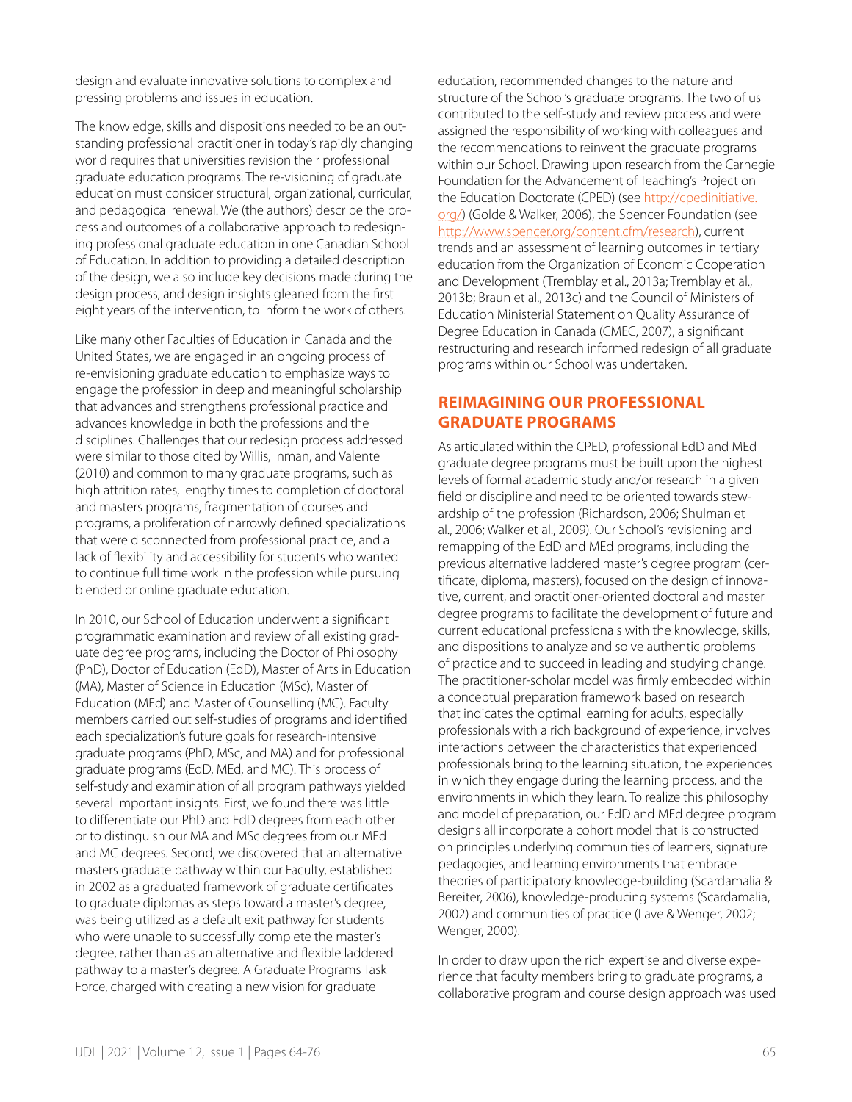design and evaluate innovative solutions to complex and pressing problems and issues in education.

The knowledge, skills and dispositions needed to be an outstanding professional practitioner in today's rapidly changing world requires that universities revision their professional graduate education programs. The re-visioning of graduate education must consider structural, organizational, curricular, and pedagogical renewal. We (the authors) describe the process and outcomes of a collaborative approach to redesigning professional graduate education in one Canadian School of Education. In addition to providing a detailed description of the design, we also include key decisions made during the design process, and design insights gleaned from the first eight years of the intervention, to inform the work of others.

Like many other Faculties of Education in Canada and the United States, we are engaged in an ongoing process of re-envisioning graduate education to emphasize ways to engage the profession in deep and meaningful scholarship that advances and strengthens professional practice and advances knowledge in both the professions and the disciplines. Challenges that our redesign process addressed were similar to those cited by Willis, Inman, and Valente (2010) and common to many graduate programs, such as high attrition rates, lengthy times to completion of doctoral and masters programs, fragmentation of courses and programs, a proliferation of narrowly defined specializations that were disconnected from professional practice, and a lack of flexibility and accessibility for students who wanted to continue full time work in the profession while pursuing blended or online graduate education.

In 2010, our School of Education underwent a significant programmatic examination and review of all existing graduate degree programs, including the Doctor of Philosophy (PhD), Doctor of Education (EdD), Master of Arts in Education (MA), Master of Science in Education (MSc), Master of Education (MEd) and Master of Counselling (MC). Faculty members carried out self-studies of programs and identified each specialization's future goals for research-intensive graduate programs (PhD, MSc, and MA) and for professional graduate programs (EdD, MEd, and MC). This process of self-study and examination of all program pathways yielded several important insights. First, we found there was little to differentiate our PhD and EdD degrees from each other or to distinguish our MA and MSc degrees from our MEd and MC degrees. Second, we discovered that an alternative masters graduate pathway within our Faculty, established in 2002 as a graduated framework of graduate certificates to graduate diplomas as steps toward a master's degree, was being utilized as a default exit pathway for students who were unable to successfully complete the master's degree, rather than as an alternative and flexible laddered pathway to a master's degree. A Graduate Programs Task Force, charged with creating a new vision for graduate

education, recommended changes to the nature and structure of the School's graduate programs. The two of us contributed to the self-study and review process and were assigned the responsibility of working with colleagues and the recommendations to reinvent the graduate programs within our School. Drawing upon research from the Carnegie Foundation for the Advancement of Teaching's Project on the Education Doctorate (CPED) (see [http://cpedinitiative.](http://cpedinitiative.org/) [org/](http://cpedinitiative.org/)) (Golde & Walker, 2006), the Spencer Foundation (see http://www.spencer.org/content.cfm/research), current trends and an assessment of learning outcomes in tertiary education from the Organization of Economic Cooperation and Development (Tremblay et al., 2013a; Tremblay et al., 2013b; Braun et al., 2013c) and the Council of Ministers of Education Ministerial Statement on Quality Assurance of Degree Education in Canada (CMEC, 2007), a significant restructuring and research informed redesign of all graduate programs within our School was undertaken.

## **REIMAGINING OUR PROFESSIONAL GRADUATE PROGRAMS**

As articulated within the CPED, professional EdD and MEd graduate degree programs must be built upon the highest levels of formal academic study and/or research in a given field or discipline and need to be oriented towards stewardship of the profession (Richardson, 2006; Shulman et al., 2006; Walker et al., 2009). Our School's revisioning and remapping of the EdD and MEd programs, including the previous alternative laddered master's degree program (certificate, diploma, masters), focused on the design of innovative, current, and practitioner-oriented doctoral and master degree programs to facilitate the development of future and current educational professionals with the knowledge, skills, and dispositions to analyze and solve authentic problems of practice and to succeed in leading and studying change. The practitioner-scholar model was firmly embedded within a conceptual preparation framework based on research that indicates the optimal learning for adults, especially professionals with a rich background of experience, involves interactions between the characteristics that experienced professionals bring to the learning situation, the experiences in which they engage during the learning process, and the environments in which they learn. To realize this philosophy and model of preparation, our EdD and MEd degree program designs all incorporate a cohort model that is constructed on principles underlying communities of learners, signature pedagogies, and learning environments that embrace theories of participatory knowledge-building (Scardamalia & Bereiter, 2006), knowledge-producing systems (Scardamalia, 2002) and communities of practice (Lave & Wenger, 2002; Wenger, 2000).

In order to draw upon the rich expertise and diverse experience that faculty members bring to graduate programs, a collaborative program and course design approach was used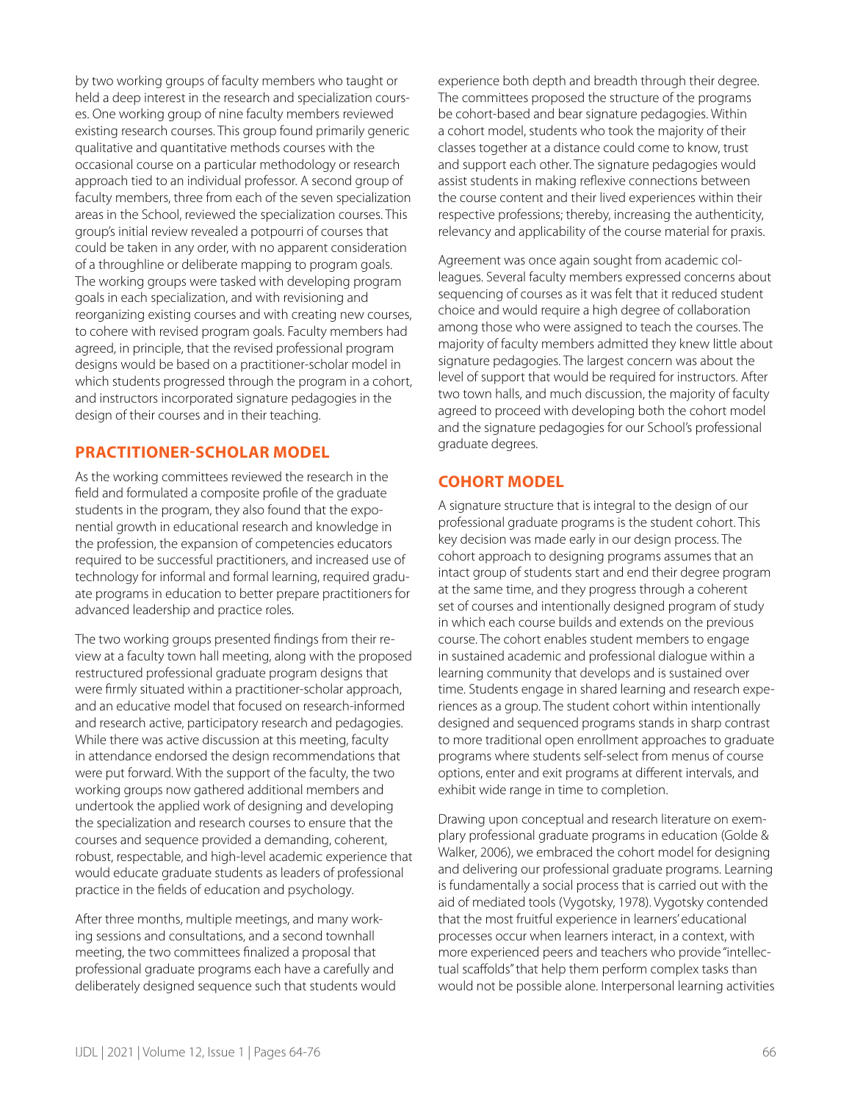by two working groups of faculty members who taught or held a deep interest in the research and specialization courses. One working group of nine faculty members reviewed existing research courses. This group found primarily generic qualitative and quantitative methods courses with the occasional course on a particular methodology or research approach tied to an individual professor. A second group of faculty members, three from each of the seven specialization areas in the School, reviewed the specialization courses. This group's initial review revealed a potpourri of courses that could be taken in any order, with no apparent consideration of a throughline or deliberate mapping to program goals. The working groups were tasked with developing program goals in each specialization, and with revisioning and reorganizing existing courses and with creating new courses, to cohere with revised program goals. Faculty members had agreed, in principle, that the revised professional program designs would be based on a practitioner-scholar model in which students progressed through the program in a cohort, and instructors incorporated signature pedagogies in the design of their courses and in their teaching.

## **PRACTITIONER-SCHOLAR MODEL**

As the working committees reviewed the research in the field and formulated a composite profile of the graduate students in the program, they also found that the exponential growth in educational research and knowledge in the profession, the expansion of competencies educators required to be successful practitioners, and increased use of technology for informal and formal learning, required graduate programs in education to better prepare practitioners for advanced leadership and practice roles.

The two working groups presented findings from their review at a faculty town hall meeting, along with the proposed restructured professional graduate program designs that were firmly situated within a practitioner-scholar approach, and an educative model that focused on research-informed and research active, participatory research and pedagogies. While there was active discussion at this meeting, faculty in attendance endorsed the design recommendations that were put forward. With the support of the faculty, the two working groups now gathered additional members and undertook the applied work of designing and developing the specialization and research courses to ensure that the courses and sequence provided a demanding, coherent, robust, respectable, and high-level academic experience that would educate graduate students as leaders of professional practice in the fields of education and psychology.

After three months, multiple meetings, and many working sessions and consultations, and a second townhall meeting, the two committees finalized a proposal that professional graduate programs each have a carefully and deliberately designed sequence such that students would experience both depth and breadth through their degree. The committees proposed the structure of the programs be cohort-based and bear signature pedagogies. Within a cohort model, students who took the majority of their classes together at a distance could come to know, trust and support each other. The signature pedagogies would assist students in making reflexive connections between the course content and their lived experiences within their respective professions; thereby, increasing the authenticity, relevancy and applicability of the course material for praxis.

Agreement was once again sought from academic colleagues. Several faculty members expressed concerns about sequencing of courses as it was felt that it reduced student choice and would require a high degree of collaboration among those who were assigned to teach the courses. The majority of faculty members admitted they knew little about signature pedagogies. The largest concern was about the level of support that would be required for instructors. After two town halls, and much discussion, the majority of faculty agreed to proceed with developing both the cohort model and the signature pedagogies for our School's professional graduate degrees.

# **COHORT MODEL**

A signature structure that is integral to the design of our professional graduate programs is the student cohort. This key decision was made early in our design process. The cohort approach to designing programs assumes that an intact group of students start and end their degree program at the same time, and they progress through a coherent set of courses and intentionally designed program of study in which each course builds and extends on the previous course. The cohort enables student members to engage in sustained academic and professional dialogue within a learning community that develops and is sustained over time. Students engage in shared learning and research experiences as a group. The student cohort within intentionally designed and sequenced programs stands in sharp contrast to more traditional open enrollment approaches to graduate programs where students self-select from menus of course options, enter and exit programs at different intervals, and exhibit wide range in time to completion.

Drawing upon conceptual and research literature on exemplary professional graduate programs in education (Golde & Walker, 2006), we embraced the cohort model for designing and delivering our professional graduate programs. Learning is fundamentally a social process that is carried out with the aid of mediated tools (Vygotsky, 1978). Vygotsky contended that the most fruitful experience in learners' educational processes occur when learners interact, in a context, with more experienced peers and teachers who provide "intellectual scaffolds" that help them perform complex tasks than would not be possible alone. Interpersonal learning activities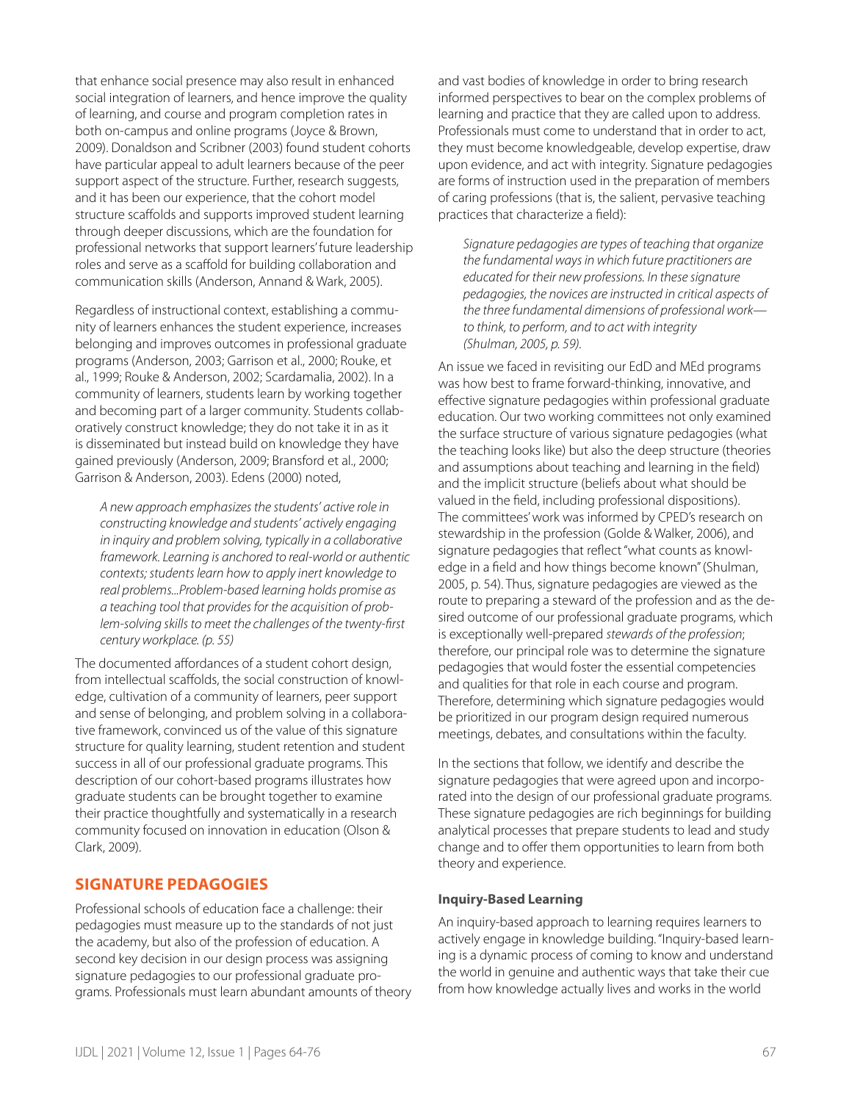that enhance social presence may also result in enhanced social integration of learners, and hence improve the quality of learning, and course and program completion rates in both on-campus and online programs (Joyce & Brown, 2009). Donaldson and Scribner (2003) found student cohorts have particular appeal to adult learners because of the peer support aspect of the structure. Further, research suggests, and it has been our experience, that the cohort model structure scaffolds and supports improved student learning through deeper discussions, which are the foundation for professional networks that support learners' future leadership roles and serve as a scaffold for building collaboration and communication skills (Anderson, Annand & Wark, 2005).

Regardless of instructional context, establishing a community of learners enhances the student experience, increases belonging and improves outcomes in professional graduate programs (Anderson, 2003; Garrison et al., 2000; Rouke, et al., 1999; Rouke & Anderson, 2002; Scardamalia, 2002). In a community of learners, students learn by working together and becoming part of a larger community. Students collaboratively construct knowledge; they do not take it in as it is disseminated but instead build on knowledge they have gained previously (Anderson, 2009; Bransford et al., 2000; Garrison & Anderson, 2003). Edens (2000) noted,

*A new approach emphasizes the students' active role in constructing knowledge and students' actively engaging in inquiry and problem solving, typically in a collaborative framework. Learning is anchored to real-world or authentic contexts; students learn how to apply inert knowledge to real problems...Problem-based learning holds promise as a teaching tool that provides for the acquisition of problem-solving skills to meet the challenges of the twenty-first century workplace. (p. 55)* 

The documented affordances of a student cohort design, from intellectual scaffolds, the social construction of knowledge, cultivation of a community of learners, peer support and sense of belonging, and problem solving in a collaborative framework, convinced us of the value of this signature structure for quality learning, student retention and student success in all of our professional graduate programs. This description of our cohort-based programs illustrates how graduate students can be brought together to examine their practice thoughtfully and systematically in a research community focused on innovation in education (Olson & Clark, 2009).

## **SIGNATURE PEDAGOGIES**

Professional schools of education face a challenge: their pedagogies must measure up to the standards of not just the academy, but also of the profession of education. A second key decision in our design process was assigning signature pedagogies to our professional graduate programs. Professionals must learn abundant amounts of theory and vast bodies of knowledge in order to bring research informed perspectives to bear on the complex problems of learning and practice that they are called upon to address. Professionals must come to understand that in order to act, they must become knowledgeable, develop expertise, draw upon evidence, and act with integrity. Signature pedagogies are forms of instruction used in the preparation of members of caring professions (that is, the salient, pervasive teaching practices that characterize a field):

*Signature pedagogies are types of teaching that organize the fundamental ways in which future practitioners are educated for their new professions. In these signature pedagogies, the novices are instructed in critical aspects of the three fundamental dimensions of professional work to think, to perform, and to act with integrity (Shulman, 2005, p. 59).*

An issue we faced in revisiting our EdD and MEd programs was how best to frame forward-thinking, innovative, and effective signature pedagogies within professional graduate education. Our two working committees not only examined the surface structure of various signature pedagogies (what the teaching looks like) but also the deep structure (theories and assumptions about teaching and learning in the field) and the implicit structure (beliefs about what should be valued in the field, including professional dispositions). The committees' work was informed by CPED's research on stewardship in the profession (Golde & Walker, 2006), and signature pedagogies that reflect "what counts as knowledge in a field and how things become known" (Shulman, 2005, p. 54). Thus, signature pedagogies are viewed as the route to preparing a steward of the profession and as the desired outcome of our professional graduate programs, which is exceptionally well-prepared *stewards of the profession*; therefore, our principal role was to determine the signature pedagogies that would foster the essential competencies and qualities for that role in each course and program. Therefore, determining which signature pedagogies would be prioritized in our program design required numerous meetings, debates, and consultations within the faculty.

In the sections that follow, we identify and describe the signature pedagogies that were agreed upon and incorporated into the design of our professional graduate programs. These signature pedagogies are rich beginnings for building analytical processes that prepare students to lead and study change and to offer them opportunities to learn from both theory and experience.

#### **Inquiry-Based Learning**

An inquiry-based approach to learning requires learners to actively engage in knowledge building. "Inquiry-based learning is a dynamic process of coming to know and understand the world in genuine and authentic ways that take their cue from how knowledge actually lives and works in the world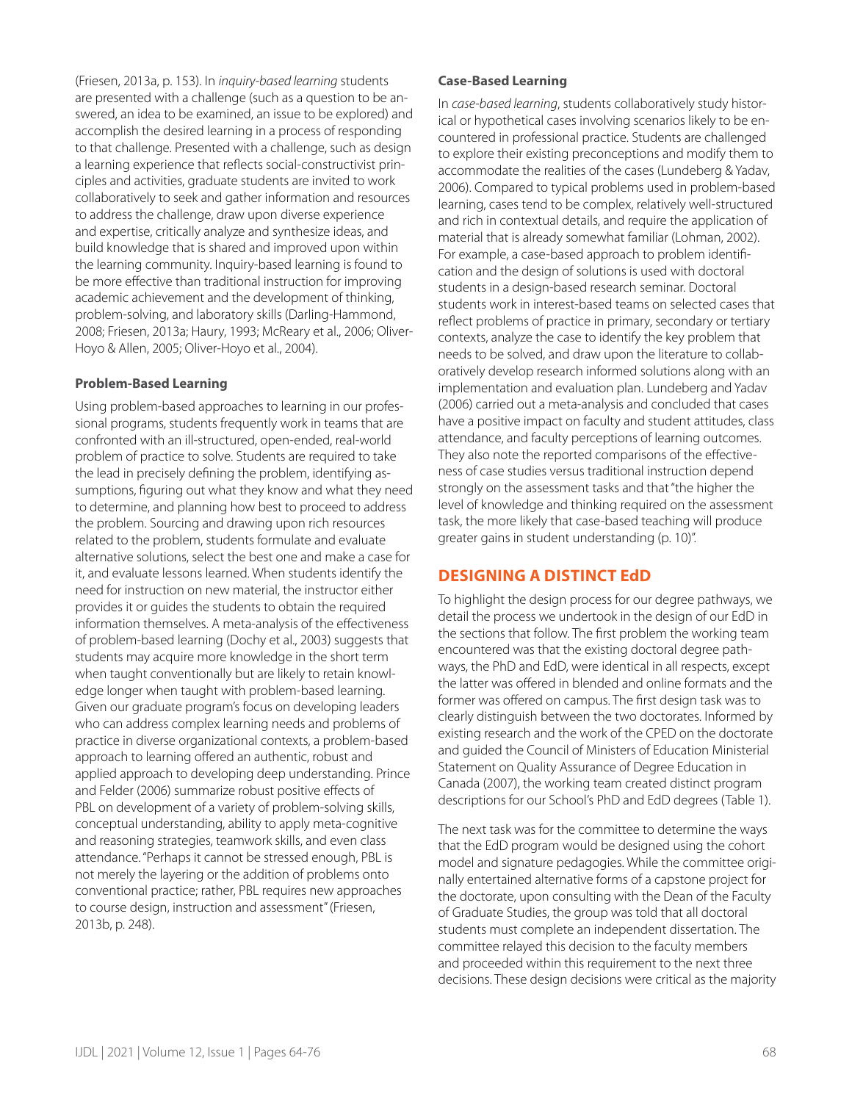(Friesen, 2013a, p. 153). In *inquiry-based learning* students are presented with a challenge (such as a question to be answered, an idea to be examined, an issue to be explored) and accomplish the desired learning in a process of responding to that challenge. Presented with a challenge, such as design a learning experience that reflects social-constructivist principles and activities, graduate students are invited to work collaboratively to seek and gather information and resources to address the challenge, draw upon diverse experience and expertise, critically analyze and synthesize ideas, and build knowledge that is shared and improved upon within the learning community. Inquiry-based learning is found to be more effective than traditional instruction for improving academic achievement and the development of thinking, problem-solving, and laboratory skills (Darling-Hammond, 2008; Friesen, 2013a; Haury, 1993; McReary et al., 2006; Oliver-Hoyo & Allen, 2005; Oliver-Hoyo et al., 2004).

## **Problem-Based Learning**

Using problem-based approaches to learning in our professional programs, students frequently work in teams that are confronted with an ill-structured, open-ended, real-world problem of practice to solve. Students are required to take the lead in precisely defining the problem, identifying assumptions, figuring out what they know and what they need to determine, and planning how best to proceed to address the problem. Sourcing and drawing upon rich resources related to the problem, students formulate and evaluate alternative solutions, select the best one and make a case for it, and evaluate lessons learned. When students identify the need for instruction on new material, the instructor either provides it or guides the students to obtain the required information themselves. A meta-analysis of the effectiveness of problem-based learning (Dochy et al., 2003) suggests that students may acquire more knowledge in the short term when taught conventionally but are likely to retain knowledge longer when taught with problem-based learning. Given our graduate program's focus on developing leaders who can address complex learning needs and problems of practice in diverse organizational contexts, a problem-based approach to learning offered an authentic, robust and applied approach to developing deep understanding. Prince and Felder (2006) summarize robust positive effects of PBL on development of a variety of problem-solving skills, conceptual understanding, ability to apply meta-cognitive and reasoning strategies, teamwork skills, and even class attendance. "Perhaps it cannot be stressed enough, PBL is not merely the layering or the addition of problems onto conventional practice; rather, PBL requires new approaches to course design, instruction and assessment" (Friesen, 2013b, p. 248).

#### **Case-Based Learning**

In *case-based learning*, students collaboratively study historical or hypothetical cases involving scenarios likely to be encountered in professional practice. Students are challenged to explore their existing preconceptions and modify them to accommodate the realities of the cases (Lundeberg & Yadav, 2006). Compared to typical problems used in problem-based learning, cases tend to be complex, relatively well-structured and rich in contextual details, and require the application of material that is already somewhat familiar (Lohman, 2002). For example, a case-based approach to problem identification and the design of solutions is used with doctoral students in a design-based research seminar. Doctoral students work in interest-based teams on selected cases that reflect problems of practice in primary, secondary or tertiary contexts, analyze the case to identify the key problem that needs to be solved, and draw upon the literature to collaboratively develop research informed solutions along with an implementation and evaluation plan. Lundeberg and Yadav (2006) carried out a meta-analysis and concluded that cases have a positive impact on faculty and student attitudes, class attendance, and faculty perceptions of learning outcomes. They also note the reported comparisons of the effectiveness of case studies versus traditional instruction depend strongly on the assessment tasks and that "the higher the level of knowledge and thinking required on the assessment task, the more likely that case-based teaching will produce greater gains in student understanding (p. 10)".

## **DESIGNING A DISTINCT EdD**

To highlight the design process for our degree pathways, we detail the process we undertook in the design of our EdD in the sections that follow. The first problem the working team encountered was that the existing doctoral degree pathways, the PhD and EdD, were identical in all respects, except the latter was offered in blended and online formats and the former was offered on campus. The first design task was to clearly distinguish between the two doctorates. Informed by existing research and the work of the CPED on the doctorate and guided the Council of Ministers of Education Ministerial Statement on Quality Assurance of Degree Education in Canada (2007), the working team created distinct program descriptions for our School's PhD and EdD degrees (Table 1).

The next task was for the committee to determine the ways that the EdD program would be designed using the cohort model and signature pedagogies. While the committee originally entertained alternative forms of a capstone project for the doctorate, upon consulting with the Dean of the Faculty of Graduate Studies, the group was told that all doctoral students must complete an independent dissertation. The committee relayed this decision to the faculty members and proceeded within this requirement to the next three decisions. These design decisions were critical as the majority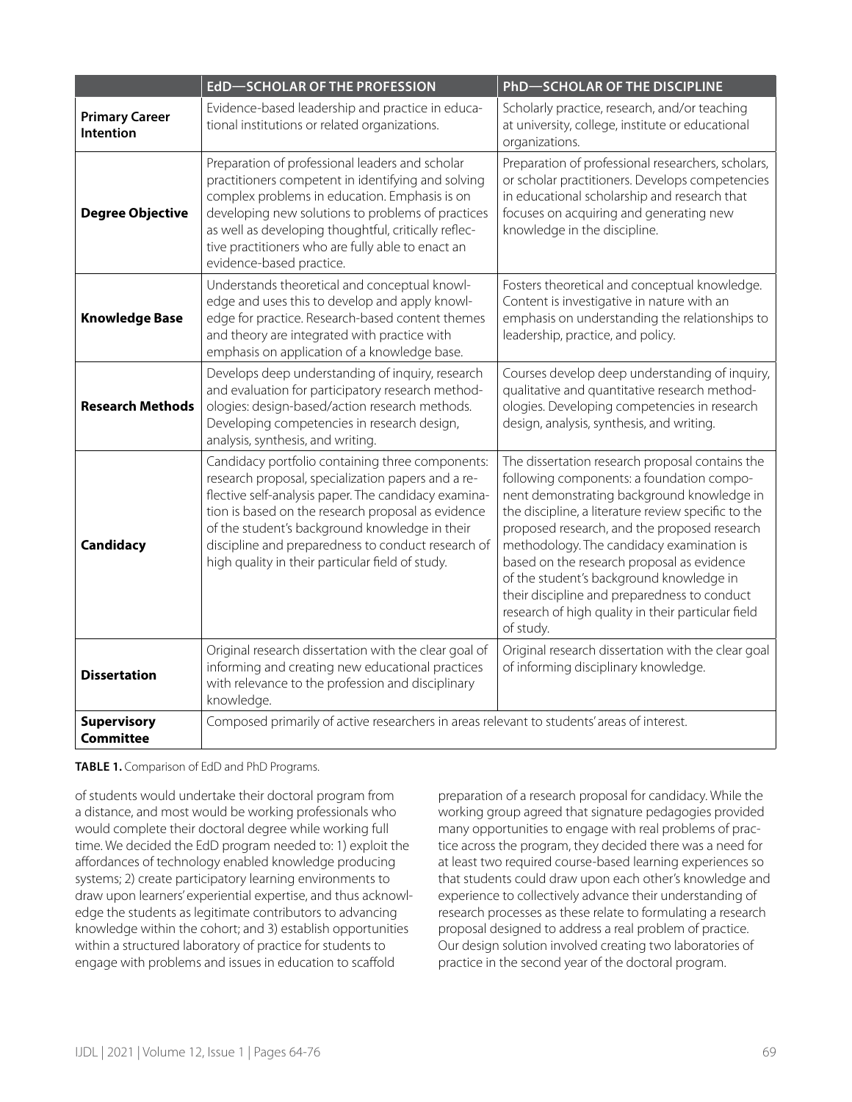|                                        | <b>EdD-SCHOLAR OF THE PROFESSION</b>                                                                                                                                                                                                                                                                                                                                             | <b>PhD-SCHOLAR OF THE DISCIPLINE</b>                                                                                                                                                                                                                                                                                                                                                                                                                                                                        |
|----------------------------------------|----------------------------------------------------------------------------------------------------------------------------------------------------------------------------------------------------------------------------------------------------------------------------------------------------------------------------------------------------------------------------------|-------------------------------------------------------------------------------------------------------------------------------------------------------------------------------------------------------------------------------------------------------------------------------------------------------------------------------------------------------------------------------------------------------------------------------------------------------------------------------------------------------------|
| <b>Primary Career</b><br>Intention     | Evidence-based leadership and practice in educa-<br>tional institutions or related organizations.                                                                                                                                                                                                                                                                                | Scholarly practice, research, and/or teaching<br>at university, college, institute or educational<br>organizations.                                                                                                                                                                                                                                                                                                                                                                                         |
| <b>Degree Objective</b>                | Preparation of professional leaders and scholar<br>practitioners competent in identifying and solving<br>complex problems in education. Emphasis is on<br>developing new solutions to problems of practices<br>as well as developing thoughtful, critically reflec-<br>tive practitioners who are fully able to enact an<br>evidence-based practice.                             | Preparation of professional researchers, scholars,<br>or scholar practitioners. Develops competencies<br>in educational scholarship and research that<br>focuses on acquiring and generating new<br>knowledge in the discipline.                                                                                                                                                                                                                                                                            |
| <b>Knowledge Base</b>                  | Understands theoretical and conceptual knowl-<br>edge and uses this to develop and apply knowl-<br>edge for practice. Research-based content themes<br>and theory are integrated with practice with<br>emphasis on application of a knowledge base.                                                                                                                              | Fosters theoretical and conceptual knowledge.<br>Content is investigative in nature with an<br>emphasis on understanding the relationships to<br>leadership, practice, and policy.                                                                                                                                                                                                                                                                                                                          |
| <b>Research Methods</b>                | Develops deep understanding of inquiry, research<br>and evaluation for participatory research method-<br>ologies: design-based/action research methods.<br>Developing competencies in research design,<br>analysis, synthesis, and writing.                                                                                                                                      | Courses develop deep understanding of inquiry,<br>qualitative and quantitative research method-<br>ologies. Developing competencies in research<br>design, analysis, synthesis, and writing.                                                                                                                                                                                                                                                                                                                |
| Candidacy                              | Candidacy portfolio containing three components:<br>research proposal, specialization papers and a re-<br>flective self-analysis paper. The candidacy examina-<br>tion is based on the research proposal as evidence<br>of the student's background knowledge in their<br>discipline and preparedness to conduct research of<br>high quality in their particular field of study. | The dissertation research proposal contains the<br>following components: a foundation compo-<br>nent demonstrating background knowledge in<br>the discipline, a literature review specific to the<br>proposed research, and the proposed research<br>methodology. The candidacy examination is<br>based on the research proposal as evidence<br>of the student's background knowledge in<br>their discipline and preparedness to conduct<br>research of high quality in their particular field<br>of study. |
| <b>Dissertation</b>                    | Original research dissertation with the clear goal of<br>informing and creating new educational practices<br>with relevance to the profession and disciplinary<br>knowledge.                                                                                                                                                                                                     | Original research dissertation with the clear goal<br>of informing disciplinary knowledge.                                                                                                                                                                                                                                                                                                                                                                                                                  |
| <b>Supervisory</b><br><b>Committee</b> | Composed primarily of active researchers in areas relevant to students' areas of interest.                                                                                                                                                                                                                                                                                       |                                                                                                                                                                                                                                                                                                                                                                                                                                                                                                             |

#### **TABLE 1.** Comparison of EdD and PhD Programs.

of students would undertake their doctoral program from a distance, and most would be working professionals who would complete their doctoral degree while working full time. We decided the EdD program needed to: 1) exploit the affordances of technology enabled knowledge producing systems; 2) create participatory learning environments to draw upon learners' experiential expertise, and thus acknowledge the students as legitimate contributors to advancing knowledge within the cohort; and 3) establish opportunities within a structured laboratory of practice for students to engage with problems and issues in education to scaffold

preparation of a research proposal for candidacy. While the working group agreed that signature pedagogies provided many opportunities to engage with real problems of practice across the program, they decided there was a need for at least two required course-based learning experiences so that students could draw upon each other's knowledge and experience to collectively advance their understanding of research processes as these relate to formulating a research proposal designed to address a real problem of practice. Our design solution involved creating two laboratories of practice in the second year of the doctoral program.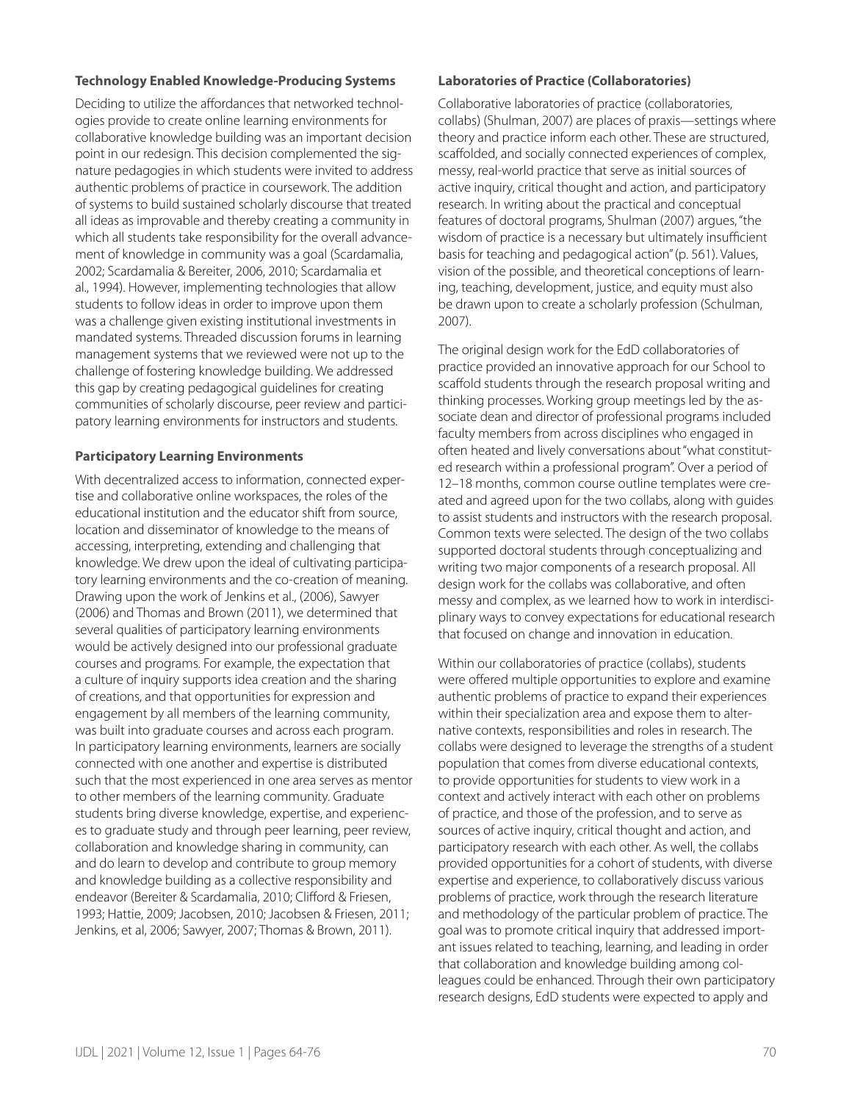#### **Technology Enabled Knowledge-Producing Systems**

Deciding to utilize the affordances that networked technologies provide to create online learning environments for collaborative knowledge building was an important decision point in our redesign. This decision complemented the signature pedagogies in which students were invited to address authentic problems of practice in coursework. The addition of systems to build sustained scholarly discourse that treated all ideas as improvable and thereby creating a community in which all students take responsibility for the overall advancement of knowledge in community was a goal (Scardamalia, 2002; Scardamalia & Bereiter, 2006, 2010; Scardamalia et al., 1994). However, implementing technologies that allow students to follow ideas in order to improve upon them was a challenge given existing institutional investments in mandated systems. Threaded discussion forums in learning management systems that we reviewed were not up to the challenge of fostering knowledge building. We addressed this gap by creating pedagogical guidelines for creating communities of scholarly discourse, peer review and participatory learning environments for instructors and students.

#### **Participatory Learning Environments**

With decentralized access to information, connected expertise and collaborative online workspaces, the roles of the educational institution and the educator shift from source, location and disseminator of knowledge to the means of accessing, interpreting, extending and challenging that knowledge. We drew upon the ideal of cultivating participatory learning environments and the co-creation of meaning. Drawing upon the work of Jenkins et al., (2006), Sawyer (2006) and Thomas and Brown (2011), we determined that several qualities of participatory learning environments would be actively designed into our professional graduate courses and programs. For example, the expectation that a culture of inquiry supports idea creation and the sharing of creations, and that opportunities for expression and engagement by all members of the learning community, was built into graduate courses and across each program. In participatory learning environments, learners are socially connected with one another and expertise is distributed such that the most experienced in one area serves as mentor to other members of the learning community. Graduate students bring diverse knowledge, expertise, and experiences to graduate study and through peer learning, peer review, collaboration and knowledge sharing in community, can and do learn to develop and contribute to group memory and knowledge building as a collective responsibility and endeavor (Bereiter & Scardamalia, 2010; Clifford & Friesen, 1993; Hattie, 2009; Jacobsen, 2010; Jacobsen & Friesen, 2011; Jenkins, et al, 2006; Sawyer, 2007; Thomas & Brown, 2011).

#### **Laboratories of Practice (Collaboratories)**

Collaborative laboratories of practice (collaboratories, collabs) (Shulman, 2007) are places of praxis—settings where theory and practice inform each other. These are structured, scaffolded, and socially connected experiences of complex, messy, real-world practice that serve as initial sources of active inquiry, critical thought and action, and participatory research. In writing about the practical and conceptual features of doctoral programs, Shulman (2007) argues, "the wisdom of practice is a necessary but ultimately insufficient basis for teaching and pedagogical action" (p. 561). Values, vision of the possible, and theoretical conceptions of learning, teaching, development, justice, and equity must also be drawn upon to create a scholarly profession (Schulman, 2007).

The original design work for the EdD collaboratories of practice provided an innovative approach for our School to scaffold students through the research proposal writing and thinking processes. Working group meetings led by the associate dean and director of professional programs included faculty members from across disciplines who engaged in often heated and lively conversations about "what constituted research within a professional program". Over a period of 12–18 months, common course outline templates were created and agreed upon for the two collabs, along with guides to assist students and instructors with the research proposal. Common texts were selected. The design of the two collabs supported doctoral students through conceptualizing and writing two major components of a research proposal. All design work for the collabs was collaborative, and often messy and complex, as we learned how to work in interdisciplinary ways to convey expectations for educational research that focused on change and innovation in education.

Within our collaboratories of practice (collabs), students were offered multiple opportunities to explore and examine authentic problems of practice to expand their experiences within their specialization area and expose them to alternative contexts, responsibilities and roles in research. The collabs were designed to leverage the strengths of a student population that comes from diverse educational contexts, to provide opportunities for students to view work in a context and actively interact with each other on problems of practice, and those of the profession, and to serve as sources of active inquiry, critical thought and action, and participatory research with each other. As well, the collabs provided opportunities for a cohort of students, with diverse expertise and experience, to collaboratively discuss various problems of practice, work through the research literature and methodology of the particular problem of practice. The goal was to promote critical inquiry that addressed important issues related to teaching, learning, and leading in order that collaboration and knowledge building among colleagues could be enhanced. Through their own participatory research designs, EdD students were expected to apply and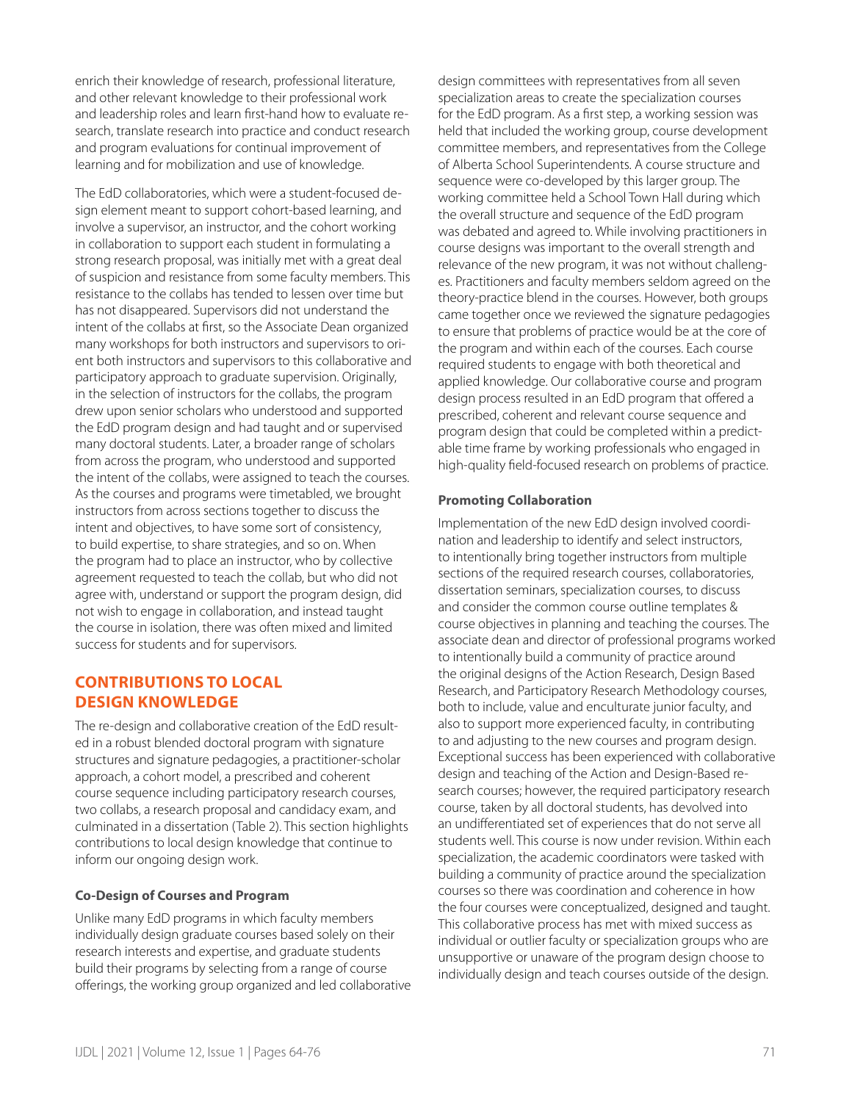enrich their knowledge of research, professional literature, and other relevant knowledge to their professional work and leadership roles and learn first-hand how to evaluate research, translate research into practice and conduct research and program evaluations for continual improvement of learning and for mobilization and use of knowledge.

The EdD collaboratories, which were a student-focused design element meant to support cohort-based learning, and involve a supervisor, an instructor, and the cohort working in collaboration to support each student in formulating a strong research proposal, was initially met with a great deal of suspicion and resistance from some faculty members. This resistance to the collabs has tended to lessen over time but has not disappeared. Supervisors did not understand the intent of the collabs at first, so the Associate Dean organized many workshops for both instructors and supervisors to orient both instructors and supervisors to this collaborative and participatory approach to graduate supervision. Originally, in the selection of instructors for the collabs, the program drew upon senior scholars who understood and supported the EdD program design and had taught and or supervised many doctoral students. Later, a broader range of scholars from across the program, who understood and supported the intent of the collabs, were assigned to teach the courses. As the courses and programs were timetabled, we brought instructors from across sections together to discuss the intent and objectives, to have some sort of consistency, to build expertise, to share strategies, and so on. When the program had to place an instructor, who by collective agreement requested to teach the collab, but who did not agree with, understand or support the program design, did not wish to engage in collaboration, and instead taught the course in isolation, there was often mixed and limited success for students and for supervisors.

## **CONTRIBUTIONS TO LOCAL DESIGN KNOWLEDGE**

The re-design and collaborative creation of the EdD resulted in a robust blended doctoral program with signature structures and signature pedagogies, a practitioner-scholar approach, a cohort model, a prescribed and coherent course sequence including participatory research courses, two collabs, a research proposal and candidacy exam, and culminated in a dissertation (Table 2). This section highlights contributions to local design knowledge that continue to inform our ongoing design work.

## **Co-Design of Courses and Program**

Unlike many EdD programs in which faculty members individually design graduate courses based solely on their research interests and expertise, and graduate students build their programs by selecting from a range of course offerings, the working group organized and led collaborative design committees with representatives from all seven specialization areas to create the specialization courses for the EdD program. As a first step, a working session was held that included the working group, course development committee members, and representatives from the College of Alberta School Superintendents. A course structure and sequence were co-developed by this larger group. The working committee held a School Town Hall during which the overall structure and sequence of the EdD program was debated and agreed to. While involving practitioners in course designs was important to the overall strength and relevance of the new program, it was not without challenges. Practitioners and faculty members seldom agreed on the theory-practice blend in the courses. However, both groups came together once we reviewed the signature pedagogies to ensure that problems of practice would be at the core of the program and within each of the courses. Each course required students to engage with both theoretical and applied knowledge. Our collaborative course and program design process resulted in an EdD program that offered a prescribed, coherent and relevant course sequence and program design that could be completed within a predictable time frame by working professionals who engaged in high-quality field-focused research on problems of practice.

#### **Promoting Collaboration**

Implementation of the new EdD design involved coordination and leadership to identify and select instructors, to intentionally bring together instructors from multiple sections of the required research courses, collaboratories, dissertation seminars, specialization courses, to discuss and consider the common course outline templates & course objectives in planning and teaching the courses. The associate dean and director of professional programs worked to intentionally build a community of practice around the original designs of the Action Research, Design Based Research, and Participatory Research Methodology courses, both to include, value and enculturate junior faculty, and also to support more experienced faculty, in contributing to and adjusting to the new courses and program design. Exceptional success has been experienced with collaborative design and teaching of the Action and Design-Based research courses; however, the required participatory research course, taken by all doctoral students, has devolved into an undifferentiated set of experiences that do not serve all students well. This course is now under revision. Within each specialization, the academic coordinators were tasked with building a community of practice around the specialization courses so there was coordination and coherence in how the four courses were conceptualized, designed and taught. This collaborative process has met with mixed success as individual or outlier faculty or specialization groups who are unsupportive or unaware of the program design choose to individually design and teach courses outside of the design.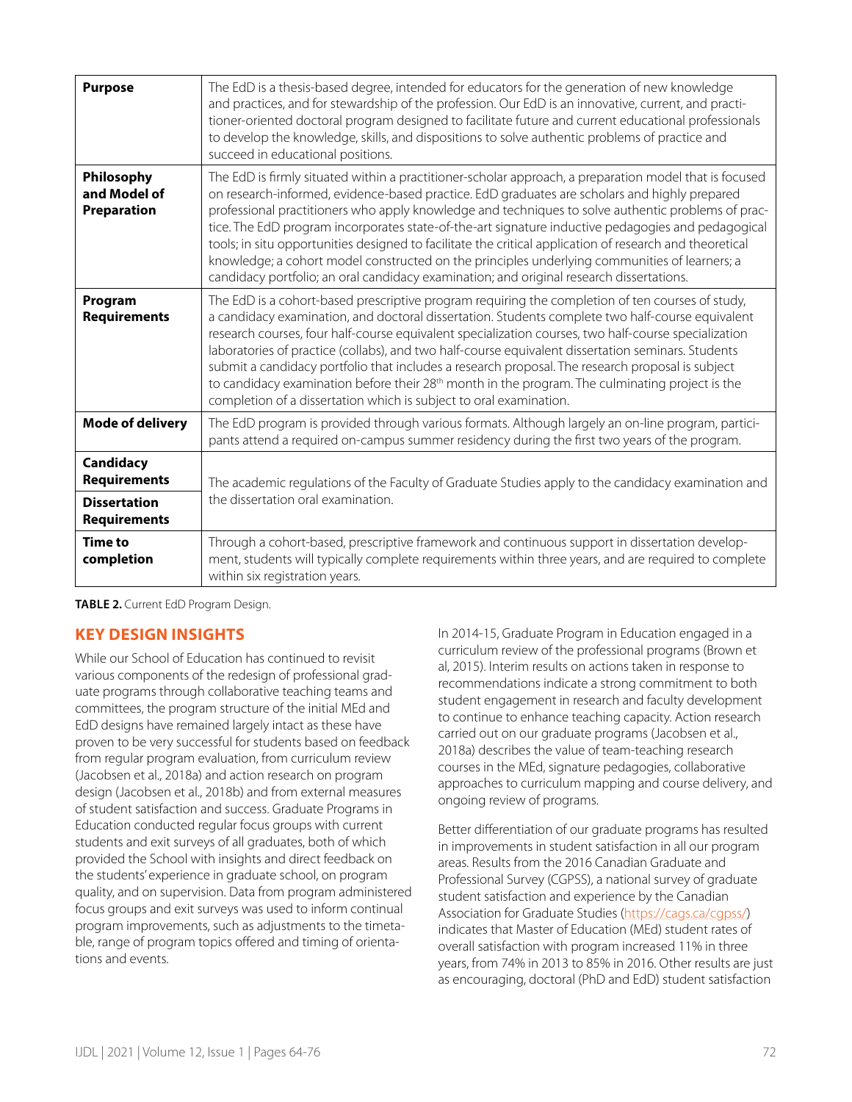| <b>Purpose</b>                                                                 | The EdD is a thesis-based degree, intended for educators for the generation of new knowledge<br>and practices, and for stewardship of the profession. Our EdD is an innovative, current, and practi-<br>tioner-oriented doctoral program designed to facilitate future and current educational professionals<br>to develop the knowledge, skills, and dispositions to solve authentic problems of practice and<br>succeed in educational positions.                                                                                                                                                                                                                                                                          |  |
|--------------------------------------------------------------------------------|------------------------------------------------------------------------------------------------------------------------------------------------------------------------------------------------------------------------------------------------------------------------------------------------------------------------------------------------------------------------------------------------------------------------------------------------------------------------------------------------------------------------------------------------------------------------------------------------------------------------------------------------------------------------------------------------------------------------------|--|
| Philosophy<br>and Model of<br>Preparation                                      | The EdD is firmly situated within a practitioner-scholar approach, a preparation model that is focused<br>on research-informed, evidence-based practice. EdD graduates are scholars and highly prepared<br>professional practitioners who apply knowledge and techniques to solve authentic problems of prac-<br>tice. The EdD program incorporates state-of-the-art signature inductive pedagogies and pedagogical<br>tools; in situ opportunities designed to facilitate the critical application of research and theoretical<br>knowledge; a cohort model constructed on the principles underlying communities of learners; a<br>candidacy portfolio; an oral candidacy examination; and original research dissertations. |  |
| Program<br><b>Requirements</b>                                                 | The EdD is a cohort-based prescriptive program requiring the completion of ten courses of study,<br>a candidacy examination, and doctoral dissertation. Students complete two half-course equivalent<br>research courses, four half-course equivalent specialization courses, two half-course specialization<br>laboratories of practice (collabs), and two half-course equivalent dissertation seminars. Students<br>submit a candidacy portfolio that includes a research proposal. The research proposal is subject<br>to candidacy examination before their 28 <sup>th</sup> month in the program. The culminating project is the<br>completion of a dissertation which is subject to oral examination.                  |  |
| <b>Mode of delivery</b>                                                        | The EdD program is provided through various formats. Although largely an on-line program, partici-<br>pants attend a required on-campus summer residency during the first two years of the program.                                                                                                                                                                                                                                                                                                                                                                                                                                                                                                                          |  |
| Candidacy<br><b>Requirements</b><br><b>Dissertation</b><br><b>Requirements</b> | The academic regulations of the Faculty of Graduate Studies apply to the candidacy examination and<br>the dissertation oral examination.                                                                                                                                                                                                                                                                                                                                                                                                                                                                                                                                                                                     |  |
| <b>Time to</b><br>completion                                                   | Through a cohort-based, prescriptive framework and continuous support in dissertation develop-<br>ment, students will typically complete requirements within three years, and are required to complete<br>within six registration years.                                                                                                                                                                                                                                                                                                                                                                                                                                                                                     |  |

#### **TABLE 2.** Current EdD Program Design.

## **KEY DESIGN INSIGHTS**

While our School of Education has continued to revisit various components of the redesign of professional graduate programs through collaborative teaching teams and committees, the program structure of the initial MEd and EdD designs have remained largely intact as these have proven to be very successful for students based on feedback from regular program evaluation, from curriculum review (Jacobsen et al., 2018a) and action research on program design (Jacobsen et al., 2018b) and from external measures of student satisfaction and success. Graduate Programs in Education conducted regular focus groups with current students and exit surveys of all graduates, both of which provided the School with insights and direct feedback on the students' experience in graduate school, on program quality, and on supervision. Data from program administered focus groups and exit surveys was used to inform continual program improvements, such as adjustments to the timetable, range of program topics offered and timing of orientations and events.

In 2014-15, Graduate Program in Education engaged in a curriculum review of the professional programs (Brown et al, 2015). Interim results on actions taken in response to recommendations indicate a strong commitment to both student engagement in research and faculty development to continue to enhance teaching capacity. Action research carried out on our graduate programs (Jacobsen et al., 2018a) describes the value of team-teaching research courses in the MEd, signature pedagogies, collaborative approaches to curriculum mapping and course delivery, and ongoing review of programs.

Better differentiation of our graduate programs has resulted in improvements in student satisfaction in all our program areas. Results from the 2016 Canadian Graduate and Professional Survey (CGPSS), a national survey of graduate student satisfaction and experience by the Canadian Association for Graduate Studies (https://cags.ca/cgpss/) indicates that Master of Education (MEd) student rates of overall satisfaction with program increased 11% in three years, from 74% in 2013 to 85% in 2016. Other results are just as encouraging, doctoral (PhD and EdD) student satisfaction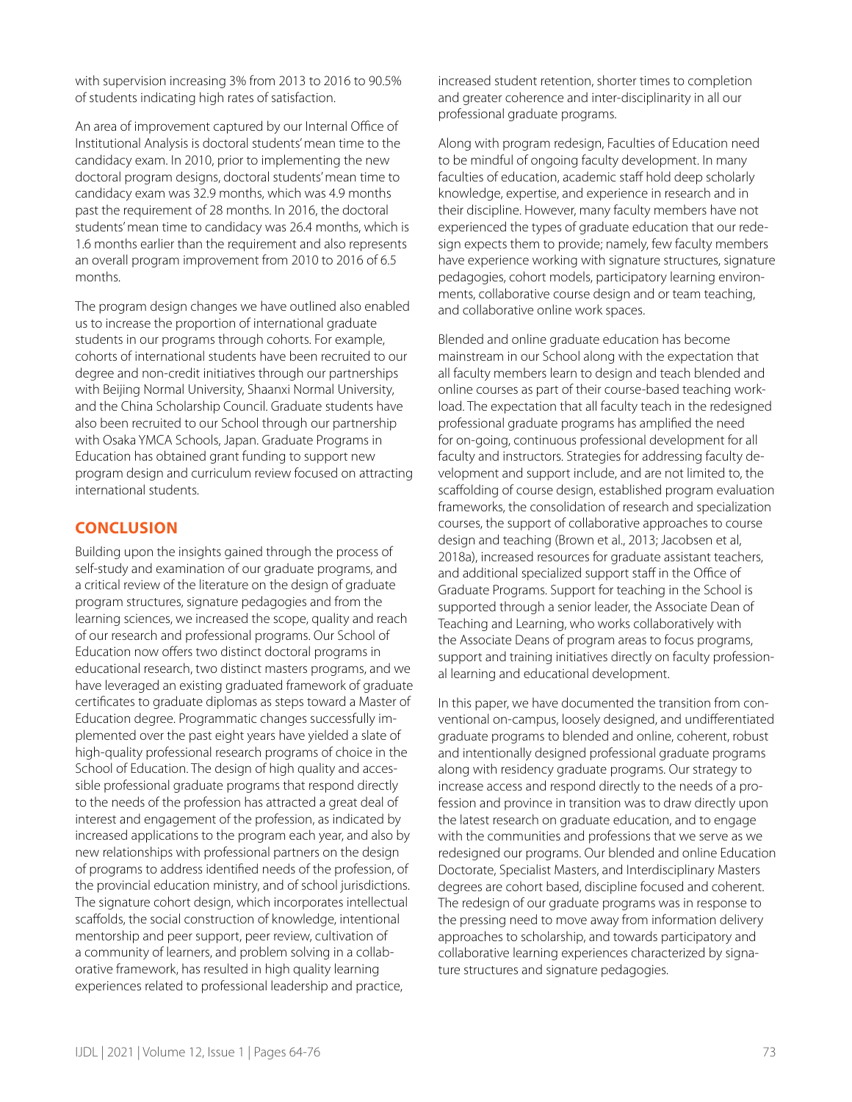with supervision increasing 3% from 2013 to 2016 to 90.5% of students indicating high rates of satisfaction.

An area of improvement captured by our Internal Office of Institutional Analysis is doctoral students' mean time to the candidacy exam. In 2010, prior to implementing the new doctoral program designs, doctoral students' mean time to candidacy exam was 32.9 months, which was 4.9 months past the requirement of 28 months. In 2016, the doctoral students' mean time to candidacy was 26.4 months, which is 1.6 months earlier than the requirement and also represents an overall program improvement from 2010 to 2016 of 6.5 months.

The program design changes we have outlined also enabled us to increase the proportion of international graduate students in our programs through cohorts. For example, cohorts of international students have been recruited to our degree and non-credit initiatives through our partnerships with Beijing Normal University, Shaanxi Normal University, and the China Scholarship Council. Graduate students have also been recruited to our School through our partnership with Osaka YMCA Schools, Japan. Graduate Programs in Education has obtained grant funding to support new program design and curriculum review focused on attracting international students.

## **CONCLUSION**

Building upon the insights gained through the process of self-study and examination of our graduate programs, and a critical review of the literature on the design of graduate program structures, signature pedagogies and from the learning sciences, we increased the scope, quality and reach of our research and professional programs. Our School of Education now offers two distinct doctoral programs in educational research, two distinct masters programs, and we have leveraged an existing graduated framework of graduate certificates to graduate diplomas as steps toward a Master of Education degree. Programmatic changes successfully implemented over the past eight years have yielded a slate of high-quality professional research programs of choice in the School of Education. The design of high quality and accessible professional graduate programs that respond directly to the needs of the profession has attracted a great deal of interest and engagement of the profession, as indicated by increased applications to the program each year, and also by new relationships with professional partners on the design of programs to address identified needs of the profession, of the provincial education ministry, and of school jurisdictions. The signature cohort design, which incorporates intellectual scaffolds, the social construction of knowledge, intentional mentorship and peer support, peer review, cultivation of a community of learners, and problem solving in a collaborative framework, has resulted in high quality learning experiences related to professional leadership and practice,

increased student retention, shorter times to completion and greater coherence and inter-disciplinarity in all our professional graduate programs.

Along with program redesign, Faculties of Education need to be mindful of ongoing faculty development. In many faculties of education, academic staff hold deep scholarly knowledge, expertise, and experience in research and in their discipline. However, many faculty members have not experienced the types of graduate education that our redesign expects them to provide; namely, few faculty members have experience working with signature structures, signature pedagogies, cohort models, participatory learning environments, collaborative course design and or team teaching, and collaborative online work spaces.

Blended and online graduate education has become mainstream in our School along with the expectation that all faculty members learn to design and teach blended and online courses as part of their course-based teaching workload. The expectation that all faculty teach in the redesigned professional graduate programs has amplified the need for on-going, continuous professional development for all faculty and instructors. Strategies for addressing faculty development and support include, and are not limited to, the scaffolding of course design, established program evaluation frameworks, the consolidation of research and specialization courses, the support of collaborative approaches to course design and teaching (Brown et al., 2013; Jacobsen et al, 2018a), increased resources for graduate assistant teachers, and additional specialized support staff in the Office of Graduate Programs. Support for teaching in the School is supported through a senior leader, the Associate Dean of Teaching and Learning, who works collaboratively with the Associate Deans of program areas to focus programs, support and training initiatives directly on faculty professional learning and educational development.

In this paper, we have documented the transition from conventional on-campus, loosely designed, and undifferentiated graduate programs to blended and online, coherent, robust and intentionally designed professional graduate programs along with residency graduate programs. Our strategy to increase access and respond directly to the needs of a profession and province in transition was to draw directly upon the latest research on graduate education, and to engage with the communities and professions that we serve as we redesigned our programs. Our blended and online Education Doctorate, Specialist Masters, and Interdisciplinary Masters degrees are cohort based, discipline focused and coherent. The redesign of our graduate programs was in response to the pressing need to move away from information delivery approaches to scholarship, and towards participatory and collaborative learning experiences characterized by signature structures and signature pedagogies.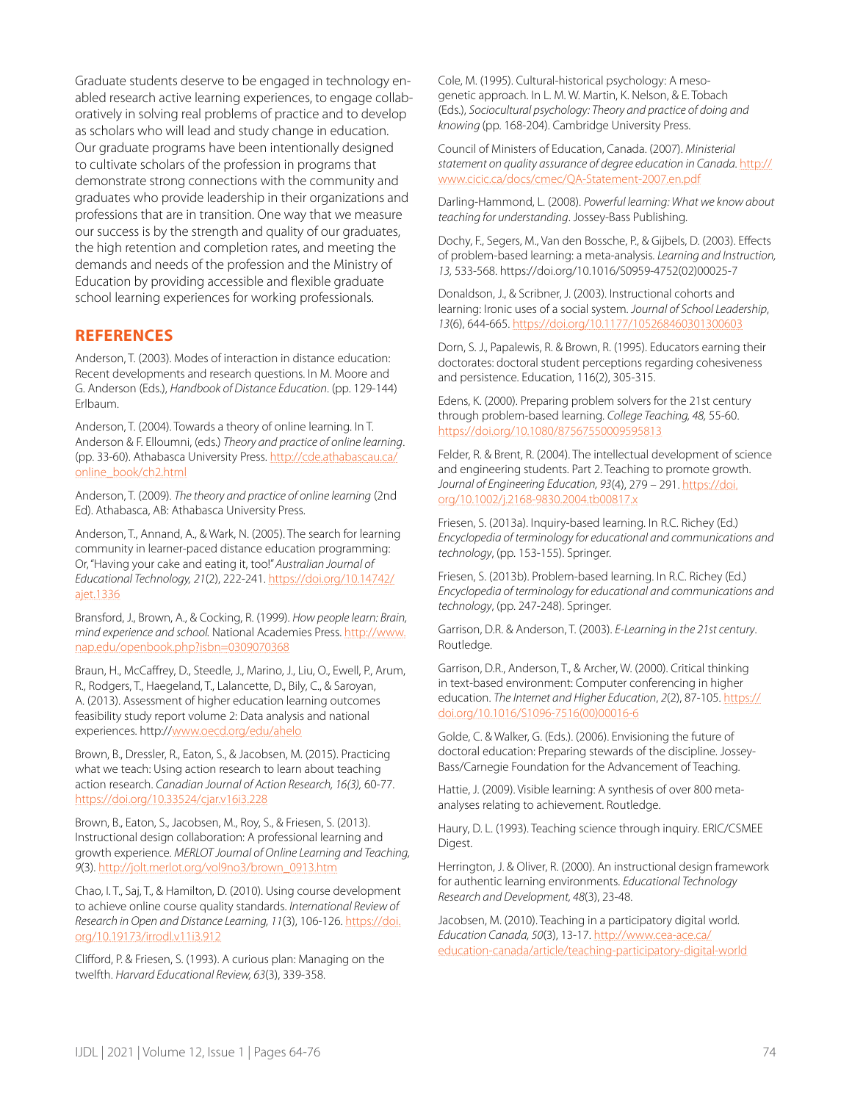Graduate students deserve to be engaged in technology enabled research active learning experiences, to engage collaboratively in solving real problems of practice and to develop as scholars who will lead and study change in education. Our graduate programs have been intentionally designed to cultivate scholars of the profession in programs that demonstrate strong connections with the community and graduates who provide leadership in their organizations and professions that are in transition. One way that we measure our success is by the strength and quality of our graduates, the high retention and completion rates, and meeting the demands and needs of the profession and the Ministry of Education by providing accessible and flexible graduate school learning experiences for working professionals.

## **REFERENCES**

Anderson, T. (2003). Modes of interaction in distance education: Recent developments and research questions. In M. Moore and G. Anderson (Eds.), *Handbook of Distance Education*. (pp. 129-144) Erlbaum.

Anderson, T. (2004). Towards a theory of online learning. In T. Anderson & F. Elloumni, (eds.) *Theory and practice of online learning*. (pp. 33-60). Athabasca University Press. [http://cde.athabascau.ca/](http://cde.athabascau.ca/online_book/ch2.html) [online\\_book/ch2.html](http://cde.athabascau.ca/online_book/ch2.html)

Anderson, T. (2009). *The theory and practice of online learning* (2nd Ed). Athabasca, AB: Athabasca University Press.

Anderson, T., Annand, A., & Wark, N. (2005). The search for learning community in learner-paced distance education programming: Or, "Having your cake and eating it, too!" *Australian Journal of Educational Technology, 21*(2), 222-241. [https://doi.org/10.14742/](https://doi.org/10.14742/ajet.1336) [ajet.1336](https://doi.org/10.14742/ajet.1336)

Bransford, J., Brown, A., & Cocking, R. (1999). *How people learn: Brain, mind experience and school.* National Academies Press. [http://www.](http://www.nap.edu/openbook.php?isbn=0309070368) [nap.edu/openbook.php?isbn=0309070368](http://www.nap.edu/openbook.php?isbn=0309070368)

Braun, H., McCaffrey, D., Steedle, J., Marino, J., Liu, O., Ewell, P., Arum, R., Rodgers, T., Haegeland, T., Lalancette, D., Bily, C., & Saroyan, A. (2013). Assessment of higher education learning outcomes feasibility study report volume 2: Data analysis and national experiences. http://[www.oecd.org/edu/ahelo](http://www.oecd.org/edu/ahelo)

Brown, B., Dressler, R., Eaton, S., & Jacobsen, M. (2015). Practicing what we teach: Using action research to learn about teaching action research. *Canadian Journal of Action Research, 16(3),* 60-77. <https://doi.org/10.33524/cjar.v16i3.228>

Brown, B., Eaton, S., Jacobsen, M., Roy, S., & Friesen, S. (2013). Instructional design collaboration: A professional learning and growth experience. *MERLOT Journal of Online Learning and Teaching, 9*(3). [http://jolt.merlot.org/vol9no3/brown\\_0913.htm](http://jolt.merlot.org/vol9no3/brown_0913.htm)

Chao, I. T., Saj, T., & Hamilton, D. (2010). Using course development to achieve online course quality standards. *International Review of Research in Open and Distance Learning, 11*(3), 106-126. [https://doi.](https://doi.org/10.19173/irrodl.v11i3.912) [org/10.19173/irrodl.v11i3.912](https://doi.org/10.19173/irrodl.v11i3.912)

Clifford, P. & Friesen, S. (1993). A curious plan: Managing on the twelfth. *Harvard Educational Review, 63*(3), 339-358.

Cole, M. (1995). Cultural-historical psychology: A mesogenetic approach. In L. M. W. Martin, K. Nelson, & E. Tobach (Eds.), *Sociocultural psychology: Theory and practice of doing and knowing* (pp. 168-204). Cambridge University Press.

Council of Ministers of Education, Canada. (2007). *Ministerial statement on quality assurance of degree education in Canada.* [http://](http://www.cicic.ca/docs/cmec/QA-Statement-2007.en.pdf) [www.cicic.ca/docs/cmec/QA-Statement-2007.en.pdf](http://www.cicic.ca/docs/cmec/QA-Statement-2007.en.pdf)

Darling-Hammond, L. (2008). *Powerful learning: What we know about teaching for understanding*. Jossey-Bass Publishing.

Dochy, F., Segers, M., Van den Bossche, P., & Gijbels, D. (2003). Effects of problem-based learning: a meta-analysis. *Learning and Instruction, 13,* 533-568. [https://doi.org/10.1016/S0959-4752\(02\)00025-7](https://doi.org/10.1016/S0959-4752(02)00025-7)

Donaldson, J., & Scribner, J. (2003). Instructional cohorts and learning: Ironic uses of a social system. *Journal of School Leadership*, *13*(6), 644-665. [https://doi.org/10.1177/105268460301300603](https://doi.org/10.1177%2F105268460301300603)

Dorn, S. J., Papalewis, R. & Brown, R. (1995). Educators earning their doctorates: doctoral student perceptions regarding cohesiveness and persistence. Education, 116(2), 305-315.

Edens, K. (2000). Preparing problem solvers for the 21st century through problem-based learning. *College Teaching, 48,* 55-60. <https://doi.org/10.1080/87567550009595813>

Felder, R. & Brent, R. (2004). The intellectual development of science and engineering students. Part 2. Teaching to promote growth. *Journal of Engineering Education, 93*(4), 279 – 291. [https://doi.](https://doi.org/10.1002/j.2168-9830.2004.tb00817.x) [org/10.1002/j.2168-9830.2004.tb00817.x](https://doi.org/10.1002/j.2168-9830.2004.tb00817.x)

Friesen, S. (2013a). Inquiry-based learning. In R.C. Richey (Ed.) *Encyclopedia of terminology for educational and communications and technology*, (pp. 153-155). Springer.

Friesen, S. (2013b). Problem-based learning. In R.C. Richey (Ed.) *Encyclopedia of terminology for educational and communications and technology*, (pp. 247-248). Springer.

Garrison, D.R. & Anderson, T. (2003). *E-Learning in the 21st century*. Routledge.

Garrison, D.R., Anderson, T., & Archer, W. (2000). Critical thinking in text-based environment: Computer conferencing in higher education. *The Internet and Higher Education*, *2*(2), 87-105. [https://](https://doi.org/10.1016/S1096-7516(00)00016-6) [doi.org/10.1016/S1096-7516\(00\)00016-6](https://doi.org/10.1016/S1096-7516(00)00016-6)

Golde, C. & Walker, G. (Eds.). (2006). Envisioning the future of doctoral education: Preparing stewards of the discipline. Jossey-Bass/Carnegie Foundation for the Advancement of Teaching.

Hattie, J. (2009). Visible learning: A synthesis of over 800 metaanalyses relating to achievement. Routledge.

Haury, D. L. (1993). Teaching science through inquiry. ERIC/CSMEE Digest.

Herrington, J. & Oliver, R. (2000). An instructional design framework for authentic learning environments. *Educational Technology Research and Development, 48*(3), 23-48.

Jacobsen, M. (2010). Teaching in a participatory digital world. *Education Canada, 50*(3), 13-17. [http://www.cea-ace.ca/](http://www.cea-ace.ca/education-canada/article/teaching-participatory-digital-world) [education-canada/article/teaching-participatory-digital-world](http://www.cea-ace.ca/education-canada/article/teaching-participatory-digital-world)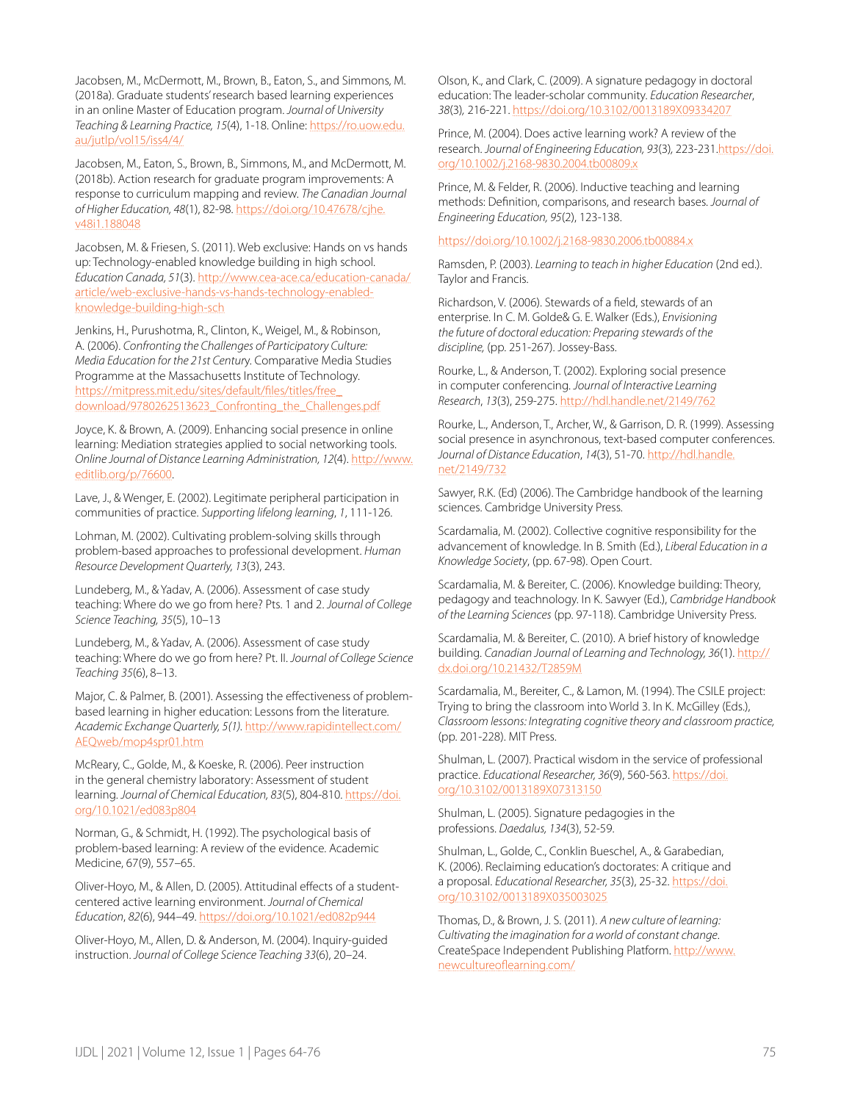Jacobsen, M., McDermott, M., Brown, B., Eaton, S., and Simmons, M. (2018a). Graduate students' research based learning experiences in an online Master of Education program. *Journal of University Teaching & Learning Practice, 15*(4), 1-18. Online: [https://ro.uow.edu.](https://ro.uow.edu.au/jutlp/vol15/iss4/4/) [au/jutlp/vol15/iss4/4/](https://ro.uow.edu.au/jutlp/vol15/iss4/4/)

Jacobsen, M., Eaton, S., Brown, B., Simmons, M., and McDermott, M. (2018b). Action research for graduate program improvements: A response to curriculum mapping and review. *The Canadian Journal of Higher Education, 48*(1), 82-98. [https://doi.org/10.47678/cjhe.](https://doi.org/10.47678/cjhe.v48i1.188048) [v48i1.188048](https://doi.org/10.47678/cjhe.v48i1.188048)

Jacobsen, M. & Friesen, S. (2011). Web exclusive: Hands on vs hands up: Technology-enabled knowledge building in high school. *Education Canada, 51*(3). [http://www.cea-ace.ca/education-canada/](http://www.cea-ace.ca/education-canada/article/web-exclusive-hands-vs-hands-technology-enabled-knowledge-building-high-sch) [article/web-exclusive-hands-vs-hands-technology-enabled](http://www.cea-ace.ca/education-canada/article/web-exclusive-hands-vs-hands-technology-enabled-knowledge-building-high-sch)[knowledge-building-high-sch](http://www.cea-ace.ca/education-canada/article/web-exclusive-hands-vs-hands-technology-enabled-knowledge-building-high-sch)

Jenkins, H., Purushotma, R., Clinton, K., Weigel, M., & Robinson, A. (2006). *Confronting the Challenges of Participatory Culture: Media Education for the 21st Centur*y. Comparative Media Studies Programme at the Massachusetts Institute of Technology. [https://mitpress.mit.edu/sites/default/files/titles/free\\_](https://mitpress.mit.edu/sites/default/files/titles/free_download/9780262513623_Confronting_the_Challenges.pdf) [download/9780262513623\\_Confronting\\_the\\_Challenges.pdf](https://mitpress.mit.edu/sites/default/files/titles/free_download/9780262513623_Confronting_the_Challenges.pdf)

Joyce, K. & Brown, A. (2009). Enhancing social presence in online learning: Mediation strategies applied to social networking tools. *Online Journal of Distance Learning Administration, 12*(4). [http://www.](http://www.editlib.org/p/76600) [editlib.org/p/76600.](http://www.editlib.org/p/76600)

Lave, J., & Wenger, E. (2002). Legitimate peripheral participation in communities of practice. *Supporting lifelong learning*, *1*, 111-126.

Lohman, M. (2002). Cultivating problem-solving skills through problem-based approaches to professional development. *Human Resource Development Quarterly, 13*(3), 243.

Lundeberg, M., & Yadav, A. (2006). Assessment of case study teaching: Where do we go from here? Pts. 1 and 2. *Journal of College Science Teaching, 35*(5), 10–13

Lundeberg, M., & Yadav, A. (2006). Assessment of case study teaching: Where do we go from here? Pt. II. *Journal of College Science Teaching 35*(6), 8–13.

Major, C. & Palmer, B. (2001). Assessing the effectiveness of problembased learning in higher education: Lessons from the literature. *Academic Exchange Quarterly, 5(1).* [http://www.rapidintellect.com/](http://www.rapidintellect.com/AEQweb/mop4spr01.htm) [AEQweb/mop4spr01.htm](http://www.rapidintellect.com/AEQweb/mop4spr01.htm)

McReary, C., Golde, M., & Koeske, R. (2006). Peer instruction in the general chemistry laboratory: Assessment of student learning. Journal of Chemical Education, 83(5), 804-810. [https://doi.](https://doi.org/10.1021/ed083p804) [org/10.1021/ed083p804](https://doi.org/10.1021/ed083p804)

Norman, G., & Schmidt, H. (1992). The psychological basis of problem-based learning: A review of the evidence. Academic Medicine, 67(9), 557–65.

Oliver-Hoyo, M., & Allen, D. (2005). Attitudinal effects of a studentcentered active learning environment. *Journal of Chemical Education*, *82*(6), 944–49.<https://doi.org/10.1021/ed082p944>

Oliver-Hoyo, M., Allen, D. & Anderson, M. (2004). Inquiry-guided instruction. *Journal of College Science Teaching 33*(6), 20–24.

Olson, K., and Clark, C. (2009). A signature pedagogy in doctoral education: The leader-scholar community. *Education Researcher*, *38*(3)*,* 216-221. [https://doi.org/10.3102/0013189X09334207](https://doi.org/10.3102%2F0013189X09334207)

Prince, M. (2004). Does active learning work? A review of the research. *Journal of Engineering Education, 93*(3)*,* 223-231[.https://doi.](https://doi.org/10.1002/j.2168-9830.2004.tb00809.x) [org/10.1002/j.2168-9830.2004.tb00809.x](https://doi.org/10.1002/j.2168-9830.2004.tb00809.x)

Prince, M. & Felder, R. (2006). Inductive teaching and learning methods: Definition, comparisons, and research bases. *Journal of Engineering Education, 95*(2), 123-138.

#### <https://doi.org/10.1002/j.2168-9830.2006.tb00884.x>

Ramsden, P. (2003). *Learning to teach in higher Education* (2nd ed.). Taylor and Francis.

Richardson, V. (2006). Stewards of a field, stewards of an enterprise. In C. M. Golde& G. E. Walker (Eds.), *Envisioning the future of doctoral education: Preparing stewards of the discipline,* (pp. 251-267). Jossey-Bass.

Rourke, L., & Anderson, T. (2002). Exploring social presence in computer conferencing. *Journal of Interactive Learning Research*, *13*(3), 259-275. <http://hdl.handle.net/2149/762>

Rourke, L., Anderson, T., Archer, W., & Garrison, D. R. (1999). Assessing social presence in asynchronous, text-based computer conferences. *Journal of Distance Education*, *14*(3), 51-70. [http://hdl.handle.](http://hdl.handle.net/2149/732) [net/2149/732](http://hdl.handle.net/2149/732)

Sawyer, R.K. (Ed) (2006). The Cambridge handbook of the learning sciences. Cambridge University Press.

Scardamalia, M. (2002). Collective cognitive responsibility for the advancement of knowledge. In B. Smith (Ed.), *Liberal Education in a Knowledge Society*, (pp. 67-98). Open Court.

Scardamalia, M. & Bereiter, C. (2006). Knowledge building: Theory, pedagogy and teachnology. In K. Sawyer (Ed.), *Cambridge Handbook of the Learning Sciences* (pp. 97-118). Cambridge University Press.

Scardamalia, M. & Bereiter, C. (2010). A brief history of knowledge building. *Canadian Journal of Learning and Technology, 36*(1). [http://](http://dx.doi.org/10.21432/T2859M) [dx.doi.org/10.21432/T2859M](http://dx.doi.org/10.21432/T2859M)

Scardamalia, M., Bereiter, C., & Lamon, M. (1994). The CSILE project: Trying to bring the classroom into World 3. In K. McGilley (Eds.), *Classroom lessons: Integrating cognitive theory and classroom practice,*  (pp. 201-228). MIT Press.

Shulman, L. (2007). Practical wisdom in the service of professional practice. *Educational Researcher, 36*(9), 560-563. [https://doi.](https://doi.org/10.3102%2F0013189X07313150) [org/10.3102/0013189X07313150](https://doi.org/10.3102%2F0013189X07313150)

Shulman, L. (2005). Signature pedagogies in the professions. *Daedalus, 134*(3), 52-59.

Shulman, L., Golde, C., Conklin Bueschel, A., & Garabedian, K. (2006). Reclaiming education's doctorates: A critique and a proposal. *Educational Researcher, 35*(3), 25-32. [https://doi.](https://doi.org/10.3102%2F0013189X035003025) [org/10.3102/0013189X035003025](https://doi.org/10.3102%2F0013189X035003025)

Thomas, D., & Brown, J. S. (2011). *A new culture of learning: Cultivating the imagination for a world of constant change*. CreateSpace Independent Publishing Platform. [http://www.](http://www.newcultureoflearning.com/) [newcultureoflearning.com/](http://www.newcultureoflearning.com/)